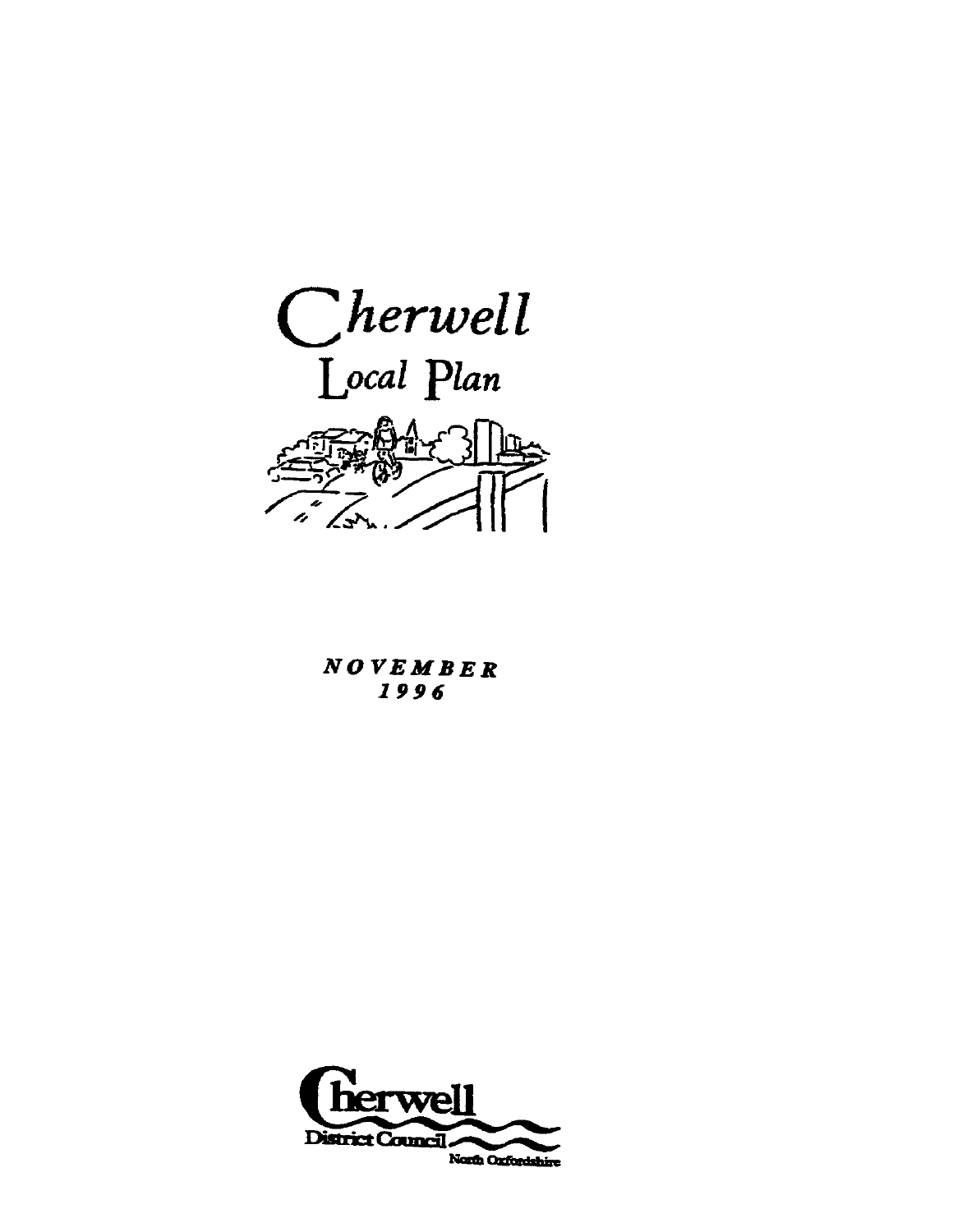

**NOVEMBER** 1996

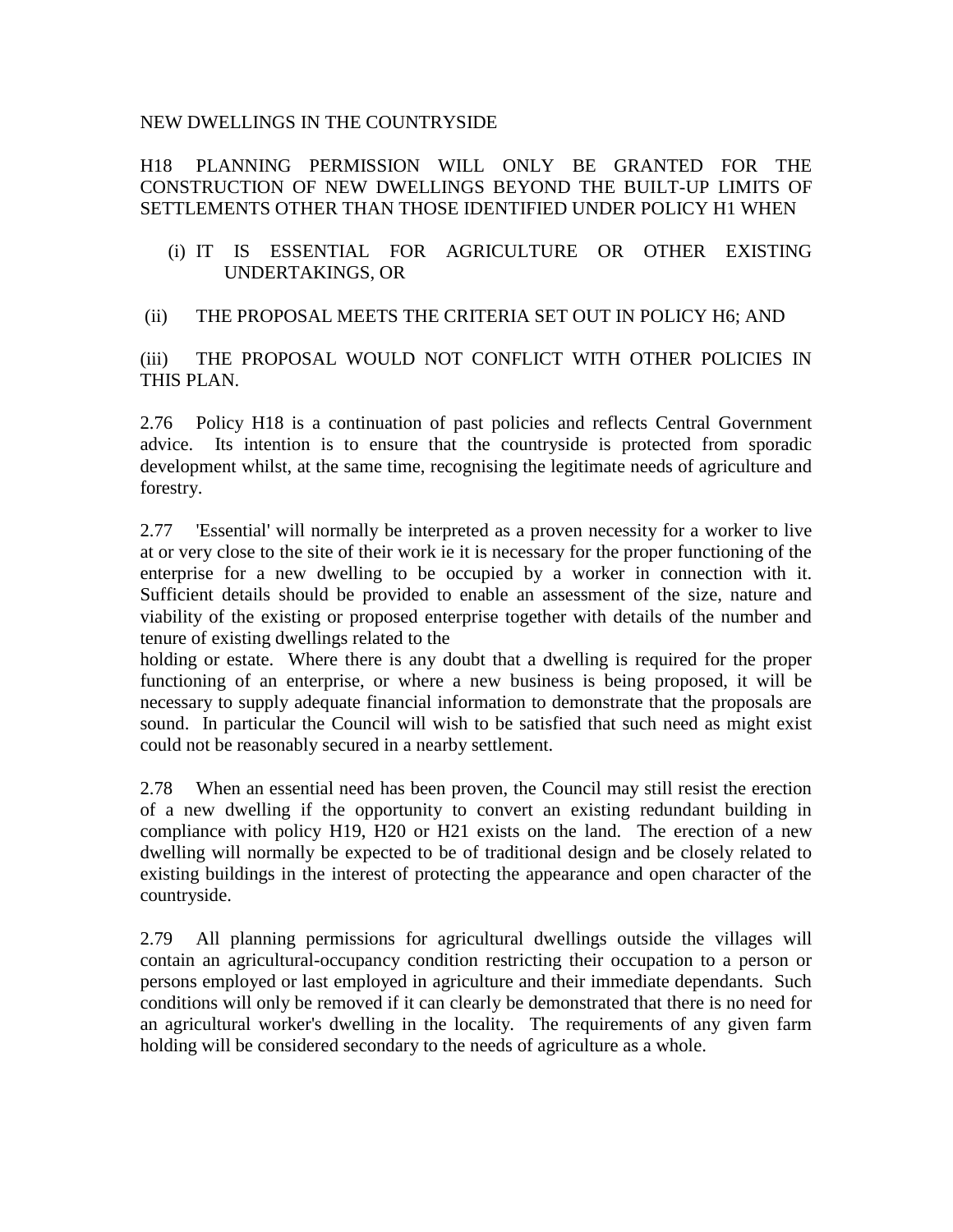#### NEW DWELLINGS IN THE COUNTRYSIDE

# H18 PLANNING PERMISSION WILL ONLY BE GRANTED FOR THE CONSTRUCTION OF NEW DWELLINGS BEYOND THE BUILT-UP LIMITS OF SETTLEMENTS OTHER THAN THOSE IDENTIFIED UNDER POLICY H1 WHEN

(i) IT IS ESSENTIAL FOR AGRICULTURE OR OTHER EXISTING UNDERTAKINGS, OR

## (ii) THE PROPOSAL MEETS THE CRITERIA SET OUT IN POLICY H6; AND

(iii) THE PROPOSAL WOULD NOT CONFLICT WITH OTHER POLICIES IN THIS PLAN.

2.76 Policy H18 is a continuation of past policies and reflects Central Government advice. Its intention is to ensure that the countryside is protected from sporadic development whilst, at the same time, recognising the legitimate needs of agriculture and forestry.

2.77 'Essential' will normally be interpreted as a proven necessity for a worker to live at or very close to the site of their work ie it is necessary for the proper functioning of the enterprise for a new dwelling to be occupied by a worker in connection with it. Sufficient details should be provided to enable an assessment of the size, nature and viability of the existing or proposed enterprise together with details of the number and tenure of existing dwellings related to the

holding or estate. Where there is any doubt that a dwelling is required for the proper functioning of an enterprise, or where a new business is being proposed, it will be necessary to supply adequate financial information to demonstrate that the proposals are sound. In particular the Council will wish to be satisfied that such need as might exist could not be reasonably secured in a nearby settlement.

2.78 When an essential need has been proven, the Council may still resist the erection of a new dwelling if the opportunity to convert an existing redundant building in compliance with policy H19, H20 or H21 exists on the land. The erection of a new dwelling will normally be expected to be of traditional design and be closely related to existing buildings in the interest of protecting the appearance and open character of the countryside.

2.79 All planning permissions for agricultural dwellings outside the villages will contain an agricultural-occupancy condition restricting their occupation to a person or persons employed or last employed in agriculture and their immediate dependants. Such conditions will only be removed if it can clearly be demonstrated that there is no need for an agricultural worker's dwelling in the locality. The requirements of any given farm holding will be considered secondary to the needs of agriculture as a whole.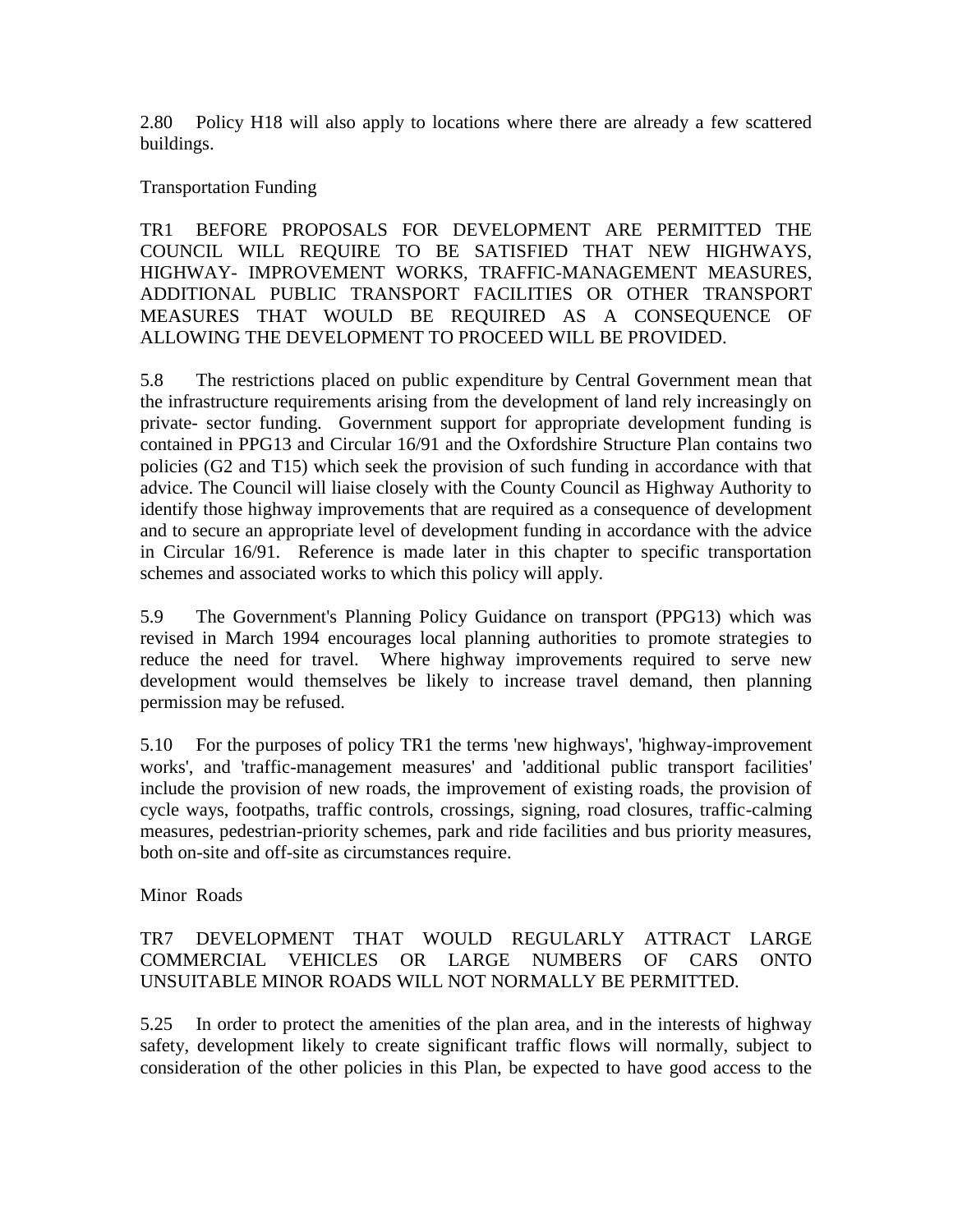2.80 Policy H18 will also apply to locations where there are already a few scattered buildings.

### Transportation Funding

TR1 BEFORE PROPOSALS FOR DEVELOPMENT ARE PERMITTED THE COUNCIL WILL REQUIRE TO BE SATISFIED THAT NEW HIGHWAYS, HIGHWAY- IMPROVEMENT WORKS, TRAFFIC-MANAGEMENT MEASURES, ADDITIONAL PUBLIC TRANSPORT FACILITIES OR OTHER TRANSPORT MEASURES THAT WOULD BE REQUIRED AS A CONSEQUENCE OF ALLOWING THE DEVELOPMENT TO PROCEED WILL BE PROVIDED.

5.8 The restrictions placed on public expenditure by Central Government mean that the infrastructure requirements arising from the development of land rely increasingly on private- sector funding. Government support for appropriate development funding is contained in PPG13 and Circular 16/91 and the Oxfordshire Structure Plan contains two policies (G2 and T15) which seek the provision of such funding in accordance with that advice. The Council will liaise closely with the County Council as Highway Authority to identify those highway improvements that are required as a consequence of development and to secure an appropriate level of development funding in accordance with the advice in Circular 16/91. Reference is made later in this chapter to specific transportation schemes and associated works to which this policy will apply.

5.9 The Government's Planning Policy Guidance on transport (PPG13) which was revised in March 1994 encourages local planning authorities to promote strategies to reduce the need for travel. Where highway improvements required to serve new development would themselves be likely to increase travel demand, then planning permission may be refused.

5.10 For the purposes of policy TR1 the terms 'new highways', 'highway-improvement works', and 'traffic-management measures' and 'additional public transport facilities' include the provision of new roads, the improvement of existing roads, the provision of cycle ways, footpaths, traffic controls, crossings, signing, road closures, traffic-calming measures, pedestrian-priority schemes, park and ride facilities and bus priority measures, both on-site and off-site as circumstances require.

Minor Roads

# TR7 DEVELOPMENT THAT WOULD REGULARLY ATTRACT LARGE COMMERCIAL VEHICLES OR LARGE NUMBERS OF CARS ONTO UNSUITABLE MINOR ROADS WILL NOT NORMALLY BE PERMITTED.

5.25 In order to protect the amenities of the plan area, and in the interests of highway safety, development likely to create significant traffic flows will normally, subject to consideration of the other policies in this Plan, be expected to have good access to the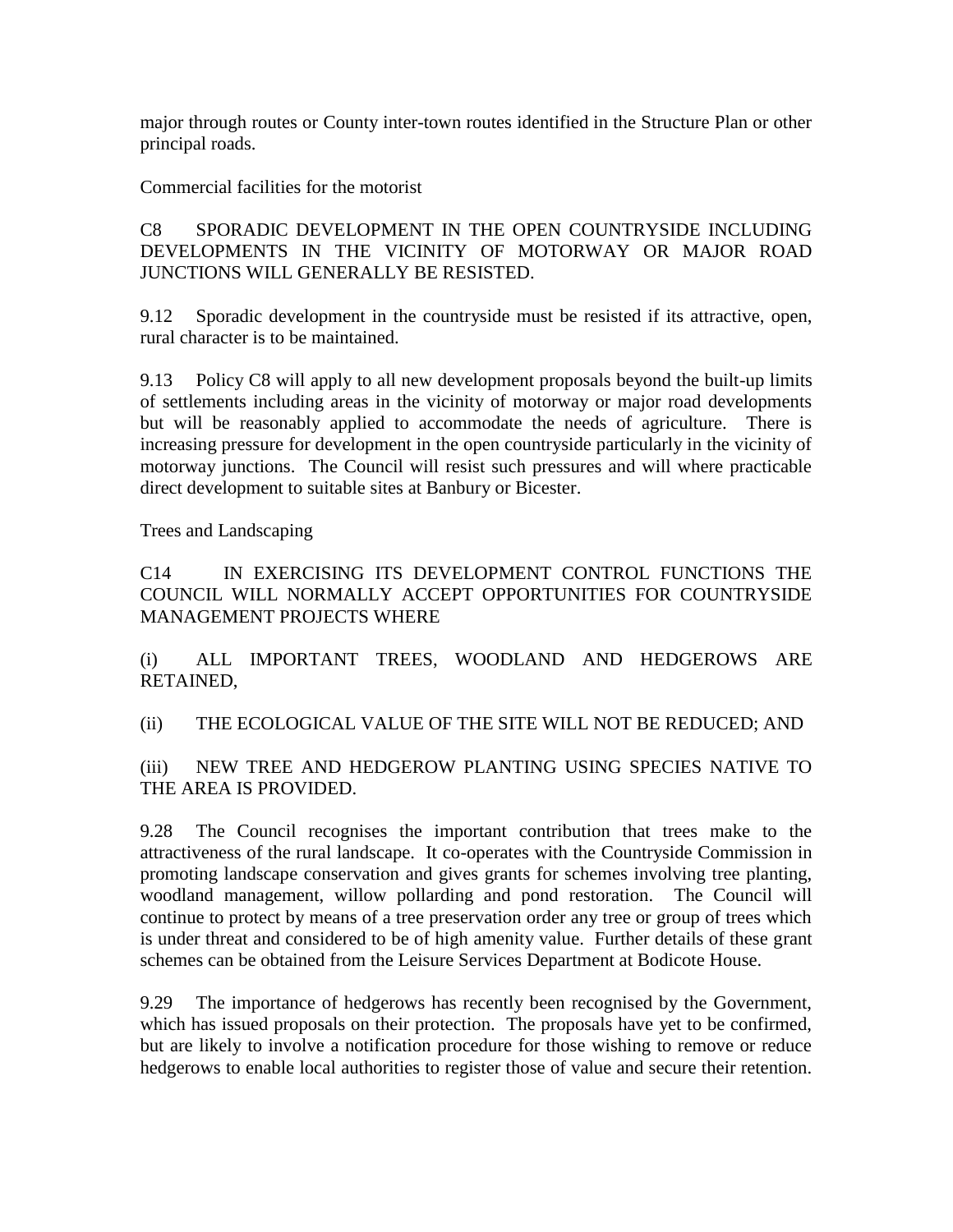major through routes or County inter-town routes identified in the Structure Plan or other principal roads.

Commercial facilities for the motorist

C8 SPORADIC DEVELOPMENT IN THE OPEN COUNTRYSIDE INCLUDING DEVELOPMENTS IN THE VICINITY OF MOTORWAY OR MAJOR ROAD JUNCTIONS WILL GENERALLY BE RESISTED.

9.12 Sporadic development in the countryside must be resisted if its attractive, open, rural character is to be maintained.

9.13 Policy C8 will apply to all new development proposals beyond the built-up limits of settlements including areas in the vicinity of motorway or major road developments but will be reasonably applied to accommodate the needs of agriculture. There is increasing pressure for development in the open countryside particularly in the vicinity of motorway junctions. The Council will resist such pressures and will where practicable direct development to suitable sites at Banbury or Bicester.

Trees and Landscaping

C14 IN EXERCISING ITS DEVELOPMENT CONTROL FUNCTIONS THE COUNCIL WILL NORMALLY ACCEPT OPPORTUNITIES FOR COUNTRYSIDE MANAGEMENT PROJECTS WHERE

(i) ALL IMPORTANT TREES, WOODLAND AND HEDGEROWS ARE RETAINED,

(ii) THE ECOLOGICAL VALUE OF THE SITE WILL NOT BE REDUCED; AND

(iii) NEW TREE AND HEDGEROW PLANTING USING SPECIES NATIVE TO THE AREA IS PROVIDED.

9.28 The Council recognises the important contribution that trees make to the attractiveness of the rural landscape. It co-operates with the Countryside Commission in promoting landscape conservation and gives grants for schemes involving tree planting, woodland management, willow pollarding and pond restoration. The Council will continue to protect by means of a tree preservation order any tree or group of trees which is under threat and considered to be of high amenity value. Further details of these grant schemes can be obtained from the Leisure Services Department at Bodicote House.

9.29 The importance of hedgerows has recently been recognised by the Government, which has issued proposals on their protection. The proposals have yet to be confirmed, but are likely to involve a notification procedure for those wishing to remove or reduce hedgerows to enable local authorities to register those of value and secure their retention.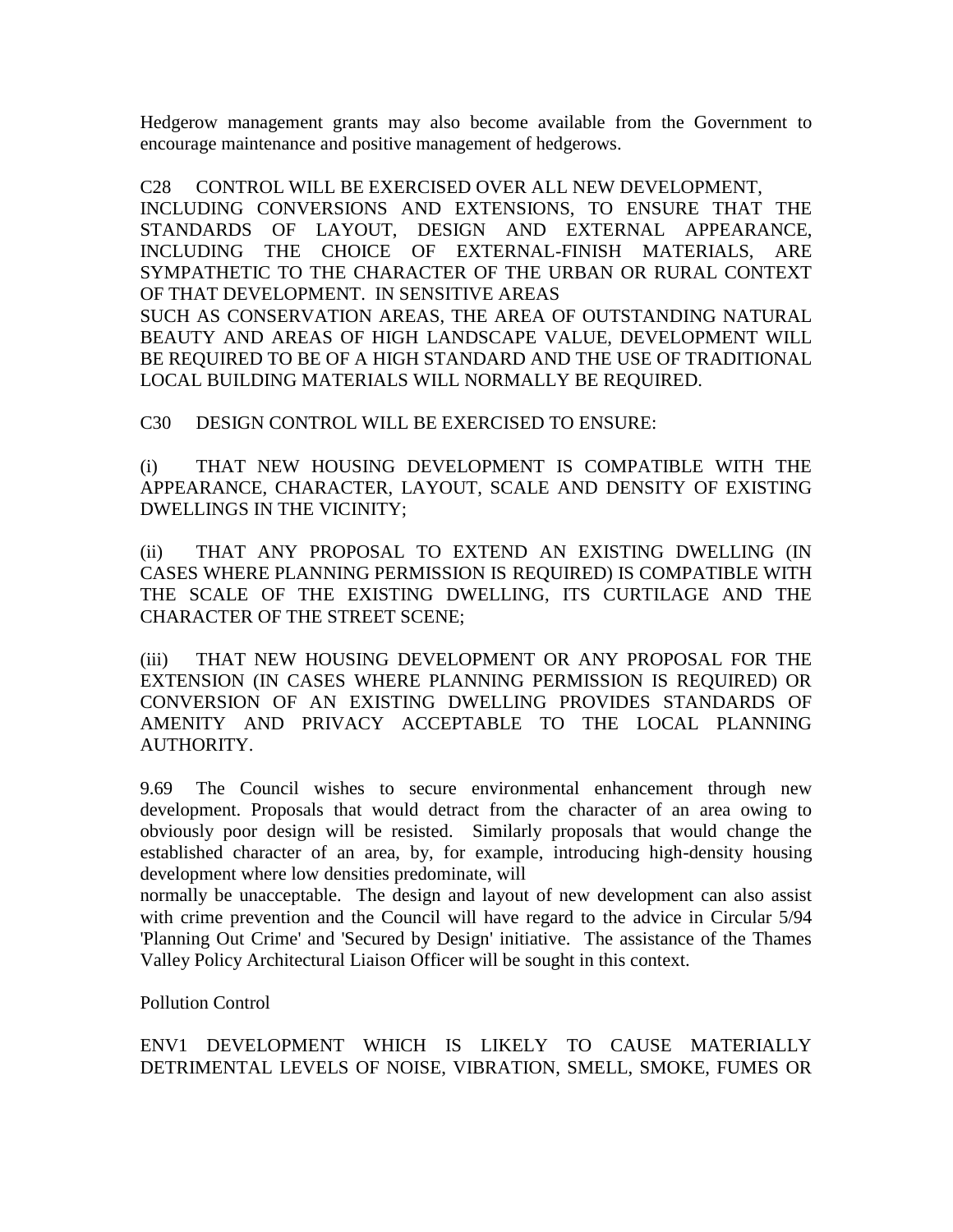Hedgerow management grants may also become available from the Government to encourage maintenance and positive management of hedgerows.

C28 CONTROL WILL BE EXERCISED OVER ALL NEW DEVELOPMENT, INCLUDING CONVERSIONS AND EXTENSIONS, TO ENSURE THAT THE STANDARDS OF LAYOUT, DESIGN AND EXTERNAL APPEARANCE, INCLUDING THE CHOICE OF EXTERNAL-FINISH MATERIALS, ARE SYMPATHETIC TO THE CHARACTER OF THE URBAN OR RURAL CONTEXT OF THAT DEVELOPMENT. IN SENSITIVE AREAS SUCH AS CONSERVATION AREAS, THE AREA OF OUTSTANDING NATURAL BEAUTY AND AREAS OF HIGH LANDSCAPE VALUE, DEVELOPMENT WILL BE REQUIRED TO BE OF A HIGH STANDARD AND THE USE OF TRADITIONAL LOCAL BUILDING MATERIALS WILL NORMALLY BE REQUIRED.

C30 DESIGN CONTROL WILL BE EXERCISED TO ENSURE:

(i) THAT NEW HOUSING DEVELOPMENT IS COMPATIBLE WITH THE APPEARANCE, CHARACTER, LAYOUT, SCALE AND DENSITY OF EXISTING DWELLINGS IN THE VICINITY;

(ii) THAT ANY PROPOSAL TO EXTEND AN EXISTING DWELLING (IN CASES WHERE PLANNING PERMISSION IS REQUIRED) IS COMPATIBLE WITH THE SCALE OF THE EXISTING DWELLING, ITS CURTILAGE AND THE CHARACTER OF THE STREET SCENE;

(iii) THAT NEW HOUSING DEVELOPMENT OR ANY PROPOSAL FOR THE EXTENSION (IN CASES WHERE PLANNING PERMISSION IS REQUIRED) OR CONVERSION OF AN EXISTING DWELLING PROVIDES STANDARDS OF AMENITY AND PRIVACY ACCEPTABLE TO THE LOCAL PLANNING AUTHORITY.

9.69 The Council wishes to secure environmental enhancement through new development. Proposals that would detract from the character of an area owing to obviously poor design will be resisted. Similarly proposals that would change the established character of an area, by, for example, introducing high-density housing development where low densities predominate, will

normally be unacceptable. The design and layout of new development can also assist with crime prevention and the Council will have regard to the advice in Circular 5/94 'Planning Out Crime' and 'Secured by Design' initiative. The assistance of the Thames Valley Policy Architectural Liaison Officer will be sought in this context.

Pollution Control

ENV1 DEVELOPMENT WHICH IS LIKELY TO CAUSE MATERIALLY DETRIMENTAL LEVELS OF NOISE, VIBRATION, SMELL, SMOKE, FUMES OR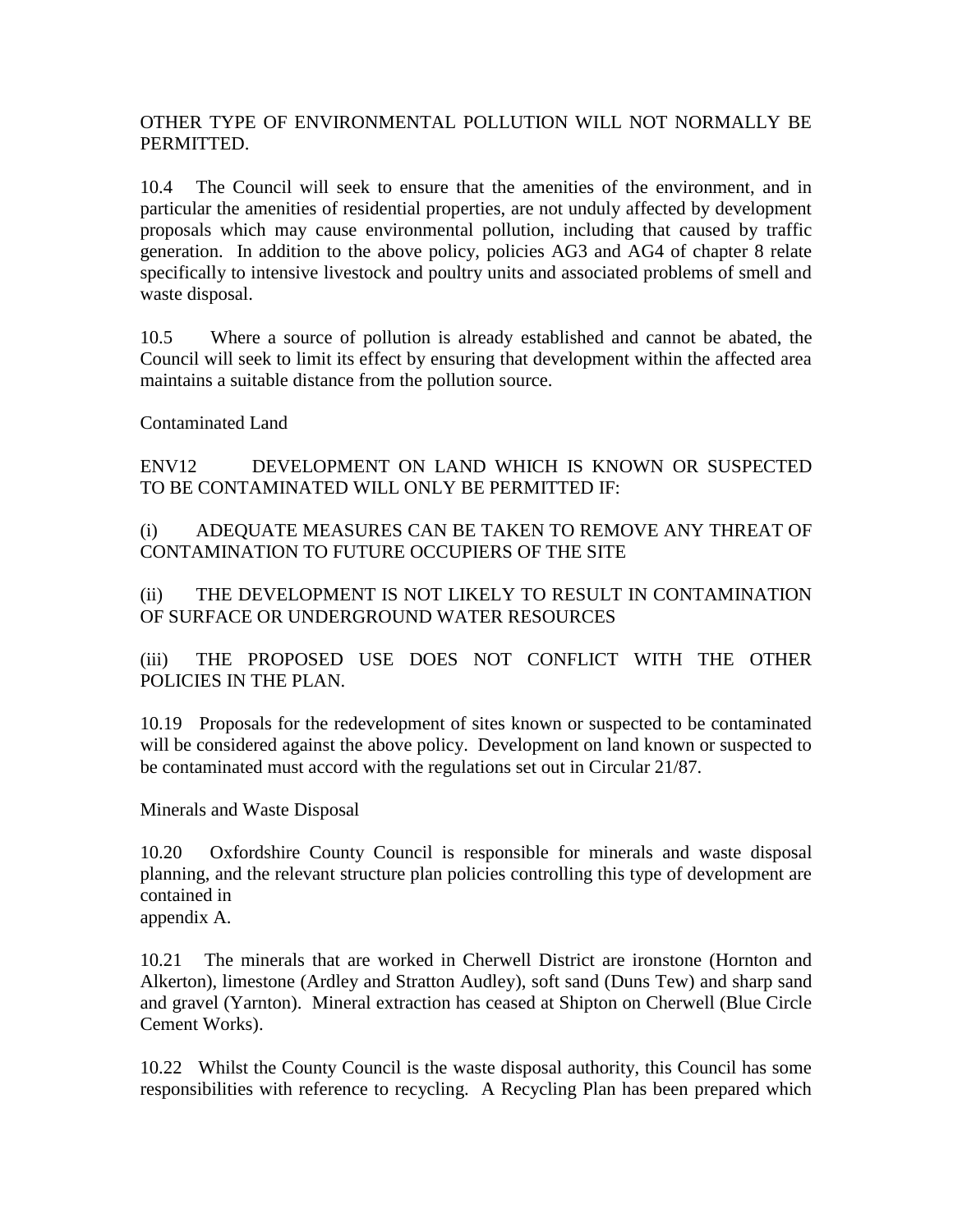### OTHER TYPE OF ENVIRONMENTAL POLLUTION WILL NOT NORMALLY BE PERMITTED.

10.4 The Council will seek to ensure that the amenities of the environment, and in particular the amenities of residential properties, are not unduly affected by development proposals which may cause environmental pollution, including that caused by traffic generation. In addition to the above policy, policies AG3 and AG4 of chapter 8 relate specifically to intensive livestock and poultry units and associated problems of smell and waste disposal.

10.5 Where a source of pollution is already established and cannot be abated, the Council will seek to limit its effect by ensuring that development within the affected area maintains a suitable distance from the pollution source.

Contaminated Land

ENV12 DEVELOPMENT ON LAND WHICH IS KNOWN OR SUSPECTED TO BE CONTAMINATED WILL ONLY BE PERMITTED IF:

(i) ADEQUATE MEASURES CAN BE TAKEN TO REMOVE ANY THREAT OF CONTAMINATION TO FUTURE OCCUPIERS OF THE SITE

(ii) THE DEVELOPMENT IS NOT LIKELY TO RESULT IN CONTAMINATION OF SURFACE OR UNDERGROUND WATER RESOURCES

(iii) THE PROPOSED USE DOES NOT CONFLICT WITH THE OTHER POLICIES IN THE PLAN.

10.19 Proposals for the redevelopment of sites known or suspected to be contaminated will be considered against the above policy. Development on land known or suspected to be contaminated must accord with the regulations set out in Circular 21/87.

Minerals and Waste Disposal

10.20 Oxfordshire County Council is responsible for minerals and waste disposal planning, and the relevant structure plan policies controlling this type of development are contained in

appendix A.

10.21 The minerals that are worked in Cherwell District are ironstone (Hornton and Alkerton), limestone (Ardley and Stratton Audley), soft sand (Duns Tew) and sharp sand and gravel (Yarnton). Mineral extraction has ceased at Shipton on Cherwell (Blue Circle Cement Works).

10.22 Whilst the County Council is the waste disposal authority, this Council has some responsibilities with reference to recycling. A Recycling Plan has been prepared which